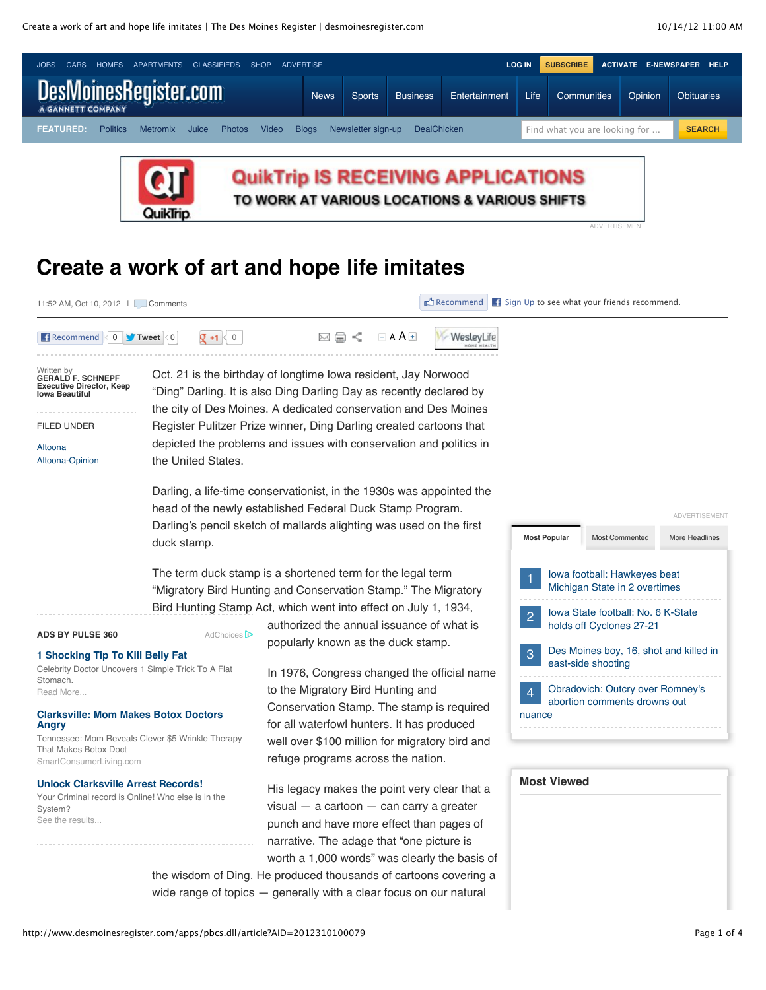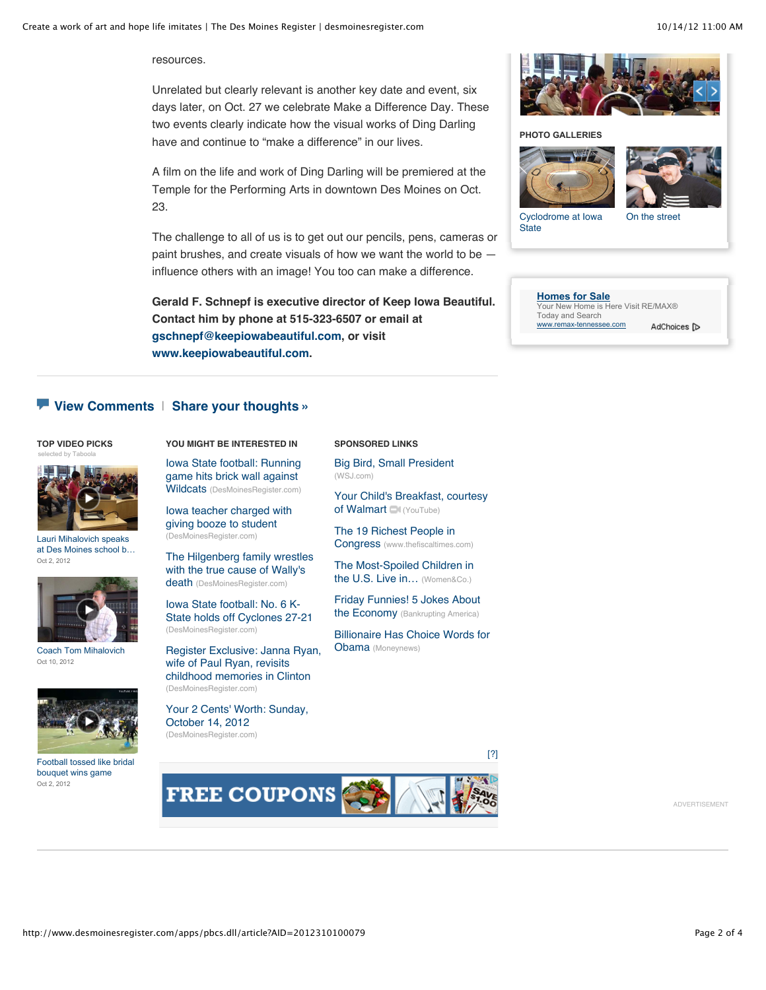resources.

Unrelated but clearly relevant is another key date and event, six days later, on Oct. 27 we celebrate Make a Difference Day. These two events clearly indicate how the visual works of Ding Darling have and continue to "make a difference" in our lives.

A film on the life and work of Ding Darling will be premiered at the Temple for the Performing Arts in downtown Des Moines on Oct. 23.

The challenge to all of us is to get out our pencils, pens, cameras or paint brushes, and create visuals of how we want the world to be influence others with an image! You too can make a difference.

**Gerald F. Schnepf is executive director of Keep Iowa Beautiful. Contact him by phone at 515-323-6507 or email at [gschnepf@keepiowabeautiful.com](mailto:gschnepf@keepiowabeautiful.com), or visit [www.keepiowabeautiful.com](http://www.keepiowabeautiful.com/).**



**PHOTO GALLERIES**





[Cyclodrome at Iowa](http://www.desmoinesregister.com/apps/pbcs.dll/gallery?Avis=D2&Dato=20110706&Kategori=NEWS&Lopenr=107060806&Ref=PH&Params=Itemnr%3D1&Item=1) **State** 

[On the street](http://www.desmoinesregister.com/apps/pbcs.dll/gallery?Avis=D2&Dato=20120918&Kategori=JUICE01&Lopenr=309180123&Ref=PH&Params=Itemnr=1&nclick_check=1)

**[Homes for Sale](http://googleads.g.doubleclick.net/aclk?sa=l&ai=CTWbvGOB6UIWjNsq1sQfmhoCABtHrjLkE6bjCj0zR996MaRABINKvshxQgJfWugZgyd7VjOCk0BSgAa-QhcMDyAEBqAMByAPfBKoEpwFP0JXxAyivdCja9lCW9xieGDRjyl0_bYGxi68pAGMoOMAbhf1AQkKfcISqMQhdf8XcefNTPhUT2jmtO0TmFGn2nrH67Kr26iKy33o40oZ9gDW4jFXG--7LQhgWF2-BXQcDZm741Kcy3yUSHgz51211R2a-tvl-C-uXgtJDicra6bC4sb_i8XxzjD93WAysfbrDFpesnpPArsQfjhlVtK66fZcbLOnG-g&num=1&sig=AOD64_0g2RS5xB7TjPhs-d6ccxdM_ASIUw&client=ca-pub-2194040235099739&adurl=http://www.remax-tennessee.com)** Your New Home is Here Visit RE/MAX® Today and Search www.remax-tennessee.comAdChoices [D

#### **[View Comments](http://www.desmoinesregister.com/comments/article/20121010/ALTOONA05/310100079/Create-work-art-hope-life-imitates)** | **[Share your thoughts »](http://www.desmoinesregister.com/comments/article/20121010/ALTOONA05/310100079/Create-work-art-hope-life-imitates)**

#### **TOP VIDEO PICKS YOU MIGHT BE INTERESTED IN** [selected by Taboola](http://services.taboolasyndication.com/publisher/gannett-desmoinesregister/rbox?item-id=/article/20121010/altoona05/310100079/create-work-art-hope-life-imitates)



Lauri Mihalovich speaks [at Des Moines school b…](http://www.desmoinesregister.com/videonetwork/1873996232001?odyssey=mod%7Ctvideo%7Carticle) Oct 2, 2012



[Coach Tom Mihalovich](http://www.desmoinesregister.com/videonetwork/1892556496001?odyssey=mod%7Ctvideo%7Carticle) Oct 10, 2012



[Football tossed like bridal](http://www.desmoinesregister.com/videonetwork/1873925042001?odyssey=mod%7Ctvideo%7Carticle) bouquet wins game Oct 2, 2012

[Iowa State football: Running](http://www.desmoinesregister.com/article/20121013/SPORTS020602/121011017/Iowa-State-football-Running-game-hits-brick-wall-against-Wildcats) game hits brick wall against Wildcats (DesMoinesRegister.com)

[Iowa teacher charged with](http://www.desmoinesregister.com/article/20121003/NEWS/310030073/1001/) giving booze to student (DesMoinesRegister.com)

[The Hilgenberg family wrestles](http://www.desmoinesregister.com/article/20121006/SPORTS/121006004/The-Hilgenberg-family-wrestles-true-cause-Wally-s-death) with the true cause of Wally's death (DesMoinesRegister.com)

Iowa State football: No. 6 K-[State holds off Cyclones 27-21](http://www.desmoinesregister.com/article/20121013/SPORTS020602/310130012/Iowa-State-football-No-6-K-State-holds-off-Cyclones-27-21) (DesMoinesRegister.com)

[Register Exclusive: Janna Ryan,](http://www.desmoinesregister.com/article/20121002/NEWS09/121002037/Register-Exclusive-Janna-Ryan-wife-Paul-Ryan-revisits-childhood-memories-Clinton) wife of Paul Ryan, revisits childhood memories in Clinton (DesMoinesRegister.com)

[Your 2 Cents' Worth: Sunday,](http://www.desmoinesregister.com/article/20121014/OPINION/310140064/Your-2-Cents-Worth-Sunday-October-14-2012) October 14, 2012 (DesMoinesRegister.com)

**SPONSORED LINKS**

[Big Bird, Small President](http://online.wsj.com/article/SB10000872396390443982904578046671220961776.html) (WSJ.com)

[Your Child's Breakfast, courtesy](http://www.youtube.com/watch?feature=youtu.be&v=AuzsUZEQoQM) of Walmart (YouTube)

[The 19 Richest People in](http://www.thefiscaltimes.com/Media/Slideshow/2012/10/07/The-19-Richest-People-in-Congress.aspx) Congress (www.thefiscaltimes.com)

[The Most-Spoiled Children in](https://www.citibank.com/womenandco/grapevine/the-most-spoiled-children-in-the-us-live-in.jsp) the U.S. Live in… (Women&Co.)

[Friday Funnies! 5 Jokes About](http://www.bankruptingamerica.org/friday-funnies-5-jokes-about-the-economy-67/) the Economy (Bankrupting America)

[Billionaire Has Choice Words for](http://www.moneynews.com/StreetTalk/Trump-Obama-Stupid-Country/2012/06/15/id/442491?PROMO_CODE=F354-1) **Obama** (Moneynews)

[\[?\]](http://www.desmoinesregister.com/apps/pbcs.dll/article?AID=2012310100079#)



ADVERTISEMENT